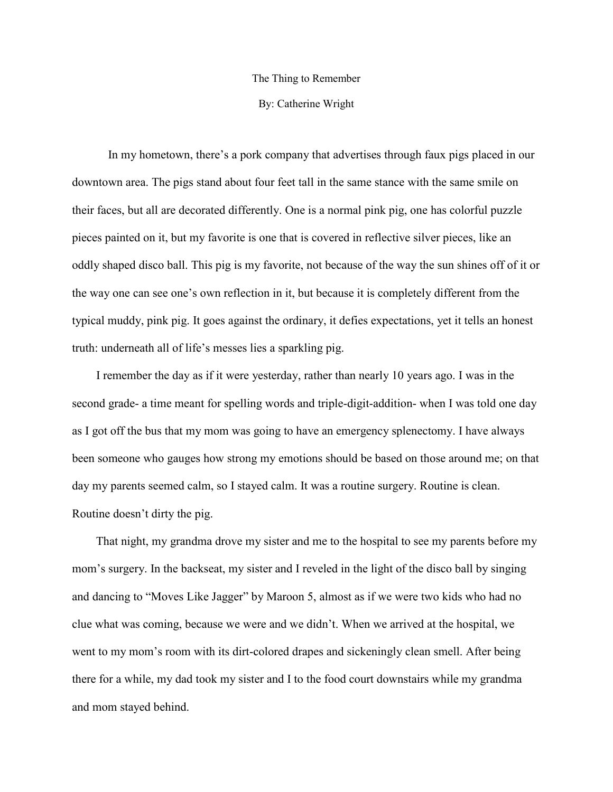## The Thing to Remember

## By: Catherine Wright

In my hometown, there's a pork company that advertises through faux pigs placed in our downtown area. The pigs stand about four feet tall in the same stance with the same smile on their faces, but all are decorated differently. One is a normal pink pig, one has colorful puzzle pieces painted on it, but my favorite is one that is covered in reflective silver pieces, like an oddly shaped disco ball. This pig is my favorite, not because of the way the sun shines off of it or the way one can see one's own reflection in it, but because it is completely different from the typical muddy, pink pig. It goes against the ordinary, it defies expectations, yet it tells an honest truth: underneath all of life's messes lies a sparkling pig.

 I remember the day as if it were yesterday, rather than nearly 10 years ago. I was in the second grade- a time meant for spelling words and triple-digit-addition- when I was told one day as I got off the bus that my mom was going to have an emergency splenectomy. I have always been someone who gauges how strong my emotions should be based on those around me; on that day my parents seemed calm, so I stayed calm. It was a routine surgery. Routine is clean. Routine doesn't dirty the pig.

 That night, my grandma drove my sister and me to the hospital to see my parents before my mom's surgery. In the backseat, my sister and I reveled in the light of the disco ball by singing and dancing to "Moves Like Jagger" by Maroon 5, almost as if we were two kids who had no clue what was coming, because we were and we didn't. When we arrived at the hospital, we went to my mom's room with its dirt-colored drapes and sickeningly clean smell. After being there for a while, my dad took my sister and I to the food court downstairs while my grandma and mom stayed behind.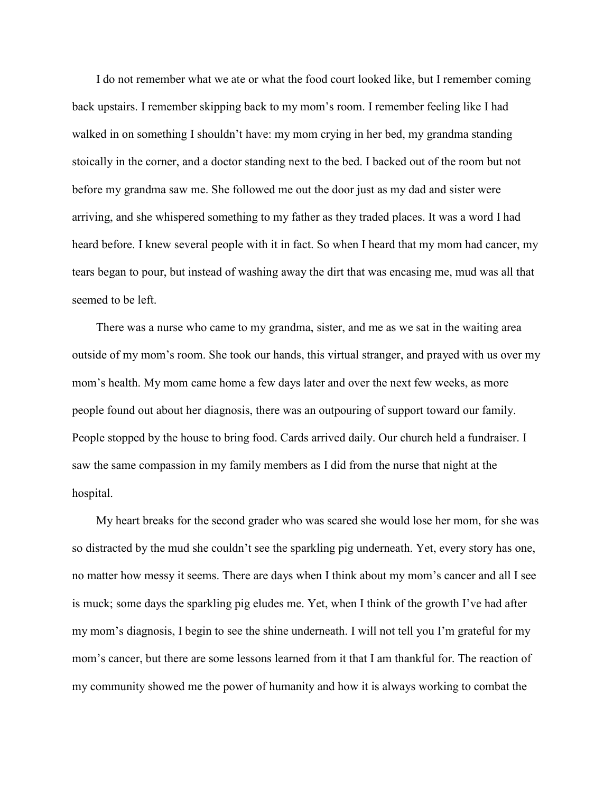I do not remember what we ate or what the food court looked like, but I remember coming back upstairs. I remember skipping back to my mom's room. I remember feeling like I had walked in on something I shouldn't have: my mom crying in her bed, my grandma standing stoically in the corner, and a doctor standing next to the bed. I backed out of the room but not before my grandma saw me. She followed me out the door just as my dad and sister were arriving, and she whispered something to my father as they traded places. It was a word I had heard before. I knew several people with it in fact. So when I heard that my mom had cancer, my tears began to pour, but instead of washing away the dirt that was encasing me, mud was all that seemed to be left.

 There was a nurse who came to my grandma, sister, and me as we sat in the waiting area outside of my mom's room. She took our hands, this virtual stranger, and prayed with us over my mom's health. My mom came home a few days later and over the next few weeks, as more people found out about her diagnosis, there was an outpouring of support toward our family. People stopped by the house to bring food. Cards arrived daily. Our church held a fundraiser. I saw the same compassion in my family members as I did from the nurse that night at the hospital.

 My heart breaks for the second grader who was scared she would lose her mom, for she was so distracted by the mud she couldn't see the sparkling pig underneath. Yet, every story has one, no matter how messy it seems. There are days when I think about my mom's cancer and all I see is muck; some days the sparkling pig eludes me. Yet, when I think of the growth I've had after my mom's diagnosis, I begin to see the shine underneath. I will not tell you I'm grateful for my mom's cancer, but there are some lessons learned from it that I am thankful for. The reaction of my community showed me the power of humanity and how it is always working to combat the